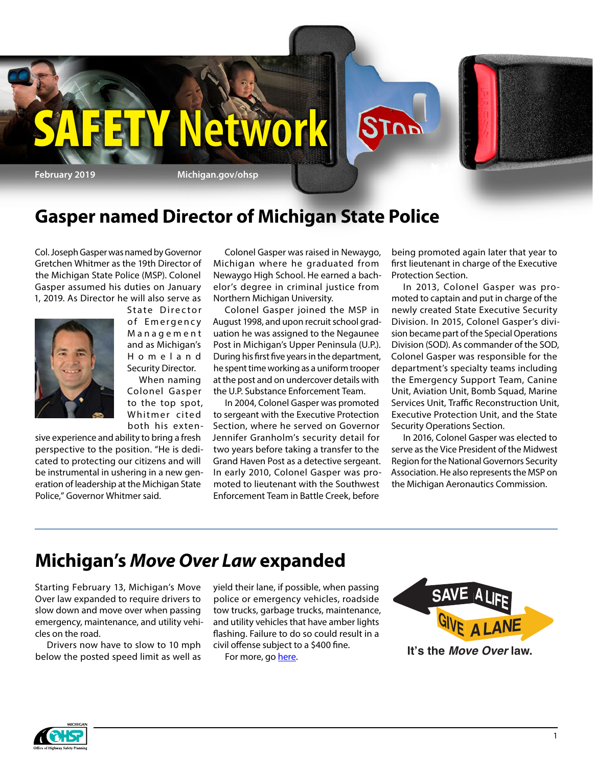

## **Gasper named Director of Michigan State Police**

Col. Joseph Gasper was named by Governor Gretchen Whitmer as the 19th Director of the Michigan State Police (MSP). Colonel Gasper assumed his duties on January 1, 2019. As Director he will also serve as



State Director of Emergency M a n a g e m e n t and as Michigan's H o m e l a n d Security Director.

When naming Colonel Gasper to the top spot, Whitmer cited both his exten-

sive experience and ability to bring a fresh perspective to the position. "He is dedicated to protecting our citizens and will be instrumental in ushering in a new generation of leadership at the Michigan State Police," Governor Whitmer said.

Colonel Gasper was raised in Newaygo, Michigan where he graduated from Newaygo High School. He earned a bachelor's degree in criminal justice from Northern Michigan University.

Colonel Gasper joined the MSP in August 1998, and upon recruit school graduation he was assigned to the Negaunee Post in Michigan's Upper Peninsula (U.P.). During his first five years in the department, he spent time working as a uniform trooper at the post and on undercover details with the U.P. Substance Enforcement Team.

In 2004, Colonel Gasper was promoted to sergeant with the Executive Protection Section, where he served on Governor Jennifer Granholm's security detail for two years before taking a transfer to the Grand Haven Post as a detective sergeant. In early 2010, Colonel Gasper was promoted to lieutenant with the Southwest Enforcement Team in Battle Creek, before

being promoted again later that year to first lieutenant in charge of the Executive Protection Section.

In 2013, Colonel Gasper was promoted to captain and put in charge of the newly created State Executive Security Division. In 2015, Colonel Gasper's division became part of the Special Operations Division (SOD). As commander of the SOD, Colonel Gasper was responsible for the department's specialty teams including the Emergency Support Team, Canine Unit, Aviation Unit, Bomb Squad, Marine Services Unit, Traffic Reconstruction Unit, Executive Protection Unit, and the State Security Operations Section.

In 2016, Colonel Gasper was elected to serve as the Vice President of the Midwest Region for the National Governors Security Association. He also represents the MSP on the Michigan Aeronautics Commission.

## **Michigan's** *Move Over Law* **expanded**

Starting February 13, Michigan's Move Over law expanded to require drivers to slow down and move over when passing emergency, maintenance, and utility vehicles on the road.

Drivers now have to slow to 10 mph below the posted speed limit as well as

yield their lane, if possible, when passing police or emergency vehicles, roadside tow trucks, garbage trucks, maintenance, and utility vehicles that have amber lights flashing. Failure to do so could result in a civil offense subject to a \$400 fine.

For more, go [here.](https://www.michigan.gov/documents/msp/Move_Over_brochure_2019_06_web_646373_7.pdf)



**Save <sup>a</sup> Life** Giv<sup>e</sup> <sup>a</sup> Lane

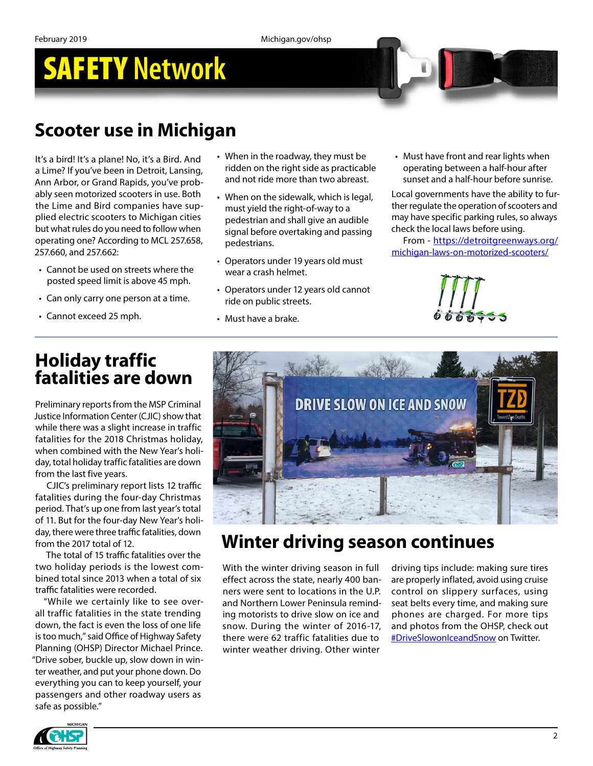## SAFETY **Network**

## **Scooter use in Michigan**

It's a bird! It's a plane! No, it's a Bird. And a Lime? If you've been in Detroit, Lansing, Ann Arbor, or Grand Rapids, you've probably seen motorized scooters in use. Both the Lime and Bird companies have supplied electric scooters to Michigan cities but what rules do you need to follow when operating one? According to MCL 257.658, 257.660, and 257.662:

- Cannot be used on streets where the posted speed limit is above 45 mph.
- Can only carry one person at a time.
- Cannot exceed 25 mph.
- When in the roadway, they must be ridden on the right side as practicable and not ride more than two abreast.
- When on the sidewalk, which is legal, must yield the right-of-way to a pedestrian and shall give an audible signal before overtaking and passing pedestrians.
- Operators under 19 years old must wear a crash helmet.
- Operators under 12 years old cannot ride on public streets.
- Must have a brake.

• Must have front and rear lights when operating between a half-hour after sunset and a half-hour before sunrise.

Local governments have the ability to further regulate the operation of scooters and may have specific parking rules, so always check the local laws before using.

From - [https://detroitgreenways.org/](https://detroitgreenways.org/michigan-laws-on-motorized-scooters/) [michigan-laws-on-motorized-scooters/](https://detroitgreenways.org/michigan-laws-on-motorized-scooters/)



## **Holiday traffic fatalities are down**

Preliminary reports from the MSP Criminal Justice Information Center (CJIC) show that while there was a slight increase in traffic fatalities for the 2018 Christmas holiday, when combined with the New Year's holiday, total holiday traffic fatalities are down from the last five years.

CJIC's preliminary report lists 12 traffic fatalities during the four-day Christmas period. That's up one from last year's total of 11. But for the four-day New Year's holiday, there were three traffic fatalities, down from the 2017 total of 12.

The total of 15 traffic fatalities over the two holiday periods is the lowest combined total since 2013 when a total of six traffic fatalities were recorded.

"While we certainly like to see overall traffic fatalities in the state trending down, the fact is even the loss of one life is too much," said Office of Highway Safety Planning (OHSP) Director Michael Prince. "Drive sober, buckle up, slow down in winter weather, and put your phone down. Do everything you can to keep yourself, your passengers and other roadway users as safe as possible."



## **Winter driving season continues**

With the winter driving season in full effect across the state, nearly 400 banners were sent to locations in the U.P. and Northern Lower Peninsula reminding motorists to drive slow on ice and snow. During the winter of 2016-17, there were 62 traffic fatalities due to winter weather driving. Other winter

driving tips include: making sure tires are properly inflated, avoid using cruise control on slippery surfaces, using seat belts every time, and making sure phones are charged. For more tips and photos from the OHSP, check out [#DriveSlowonIceandSnow](https://twitter.com/hashtag/driveslowoniceandsnow?src=hash) on Twitter.

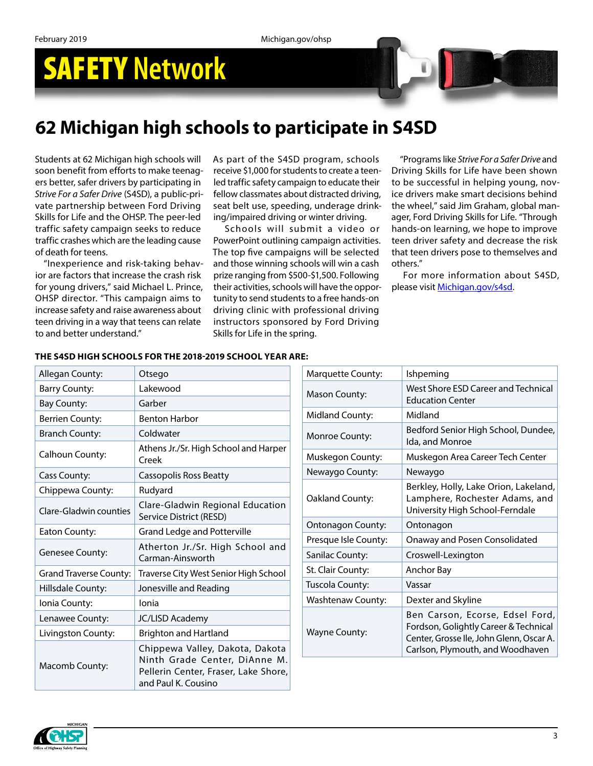## SAFETY **Network**



Students at 62 Michigan high schools will soon benefit from efforts to make teenagers better, safer drivers by participating in *Strive For a Safer Drive* (S4SD), a public-private partnership between Ford Driving Skills for Life and the OHSP. The peer-led traffic safety campaign seeks to reduce traffic crashes which are the leading cause of death for teens.

"Inexperience and risk-taking behavior are factors that increase the crash risk for young drivers," said Michael L. Prince, OHSP director. "This campaign aims to increase safety and raise awareness about teen driving in a way that teens can relate to and better understand."

As part of the S4SD program, schools receive \$1,000 for students to create a teenled traffic safety campaign to educate their fellow classmates about distracted driving, seat belt use, speeding, underage drinking/impaired driving or winter driving.

Schools will submit a video or PowerPoint outlining campaign activities. The top five campaigns will be selected and those winning schools will win a cash prize ranging from \$500-\$1,500. Following their activities, schools will have the opportunity to send students to a free hands-on driving clinic with professional driving instructors sponsored by Ford Driving Skills for Life in the spring.

"Programs like *Strive For a Safer Drive* and Driving Skills for Life have been shown to be successful in helping young, novice drivers make smart decisions behind the wheel," said Jim Graham, global manager, Ford Driving Skills for Life. "Through hands-on learning, we hope to improve teen driver safety and decrease the risk that teen drivers pose to themselves and others."

For more information about S4SD, please visit [Michigan.gov/s4sd](https://www.michigan.gov/msp/0,4643,7-123-72297_64773_58984---,00.html).

| Allegan County:        | Otsego                                                                                                                          |
|------------------------|---------------------------------------------------------------------------------------------------------------------------------|
| <b>Barry County:</b>   | Lakewood                                                                                                                        |
| <b>Bay County:</b>     | Garber                                                                                                                          |
| <b>Berrien County:</b> | <b>Benton Harbor</b>                                                                                                            |
| <b>Branch County:</b>  | Coldwater                                                                                                                       |
| Calhoun County:        | Athens Jr./Sr. High School and Harper<br>Creek                                                                                  |
| Cass County:           | Cassopolis Ross Beatty                                                                                                          |
| Chippewa County:       | Rudyard                                                                                                                         |
| Clare-Gladwin counties | Clare-Gladwin Regional Education<br>Service District (RESD)                                                                     |
| Eaton County:          | <b>Grand Ledge and Potterville</b>                                                                                              |
| <b>Genesee County:</b> | Atherton Jr./Sr. High School and<br>Carman-Ainsworth                                                                            |
| Grand Traverse County: | Traverse City West Senior High School                                                                                           |
| Hillsdale County:      | Jonesville and Reading                                                                                                          |
| Ionia County:          | Ionia                                                                                                                           |
| Lenawee County:        | <b>JC/LISD Academy</b>                                                                                                          |
| Livingston County:     | <b>Brighton and Hartland</b>                                                                                                    |
| Macomb County:         | Chippewa Valley, Dakota, Dakota<br>Ninth Grade Center, DiAnne M.<br>Pellerin Center, Fraser, Lake Shore,<br>and Paul K. Cousino |

#### **THE S4SD HIGH SCHOOLS FOR THE 2018-2019 SCHOOL YEAR ARE:**

| Marquette County:        | Ishpeming                                                                                                                                                |
|--------------------------|----------------------------------------------------------------------------------------------------------------------------------------------------------|
| Mason County:            | West Shore ESD Career and Technical<br><b>Education Center</b>                                                                                           |
| Midland County:          | Midland                                                                                                                                                  |
| Monroe County:           | Bedford Senior High School, Dundee,<br>Ida, and Monroe                                                                                                   |
| Muskegon County:         | Muskegon Area Career Tech Center                                                                                                                         |
| Newaygo County:          | Newaygo                                                                                                                                                  |
| Oakland County:          | Berkley, Holly, Lake Orion, Lakeland,<br>Lamphere, Rochester Adams, and<br>University High School-Ferndale                                               |
| Ontonagon County:        | Ontonagon                                                                                                                                                |
| Presque Isle County:     | Onaway and Posen Consolidated                                                                                                                            |
| Sanilac County:          | Croswell-Lexington                                                                                                                                       |
| St. Clair County:        | Anchor Bay                                                                                                                                               |
| Tuscola County:          | Vassar                                                                                                                                                   |
| <b>Washtenaw County:</b> | Dexter and Skyline                                                                                                                                       |
| <b>Wayne County:</b>     | Ben Carson, Ecorse, Edsel Ford,<br>Fordson, Golightly Career & Technical<br>Center, Grosse Ile, John Glenn, Oscar A.<br>Carlson, Plymouth, and Woodhaven |

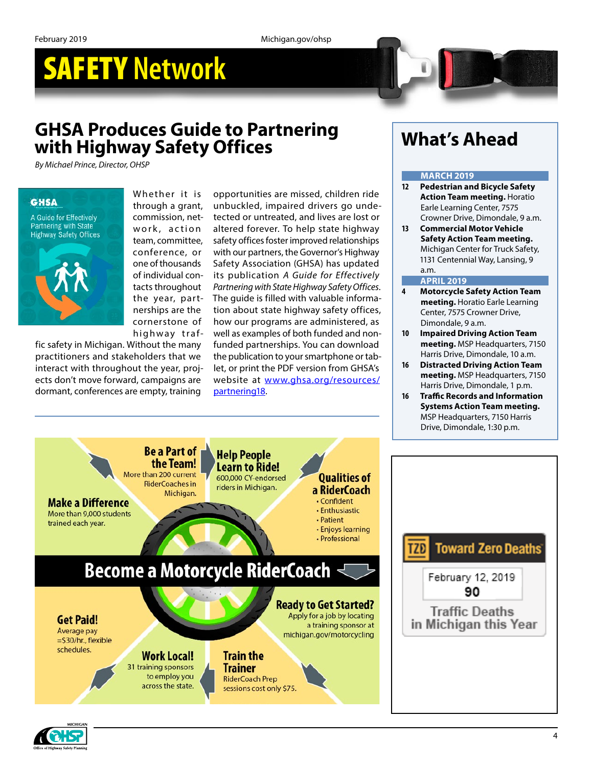# SAFETY **Network**

## **GHSA Produces Guide to Partnering with Highway Safety Offices**

*By Michael Prince, Director, OHSP*

#### **GHSA**

A Guide for Effectively **Partnering with State Highway Safety Offices** 



Whether it is through a grant, commission, network, action team, committee, conference, or one of thousands of individual contacts throughout the year, partnerships are the cornerstone of highway traf-

fic safety in Michigan. Without the many practitioners and stakeholders that we interact with throughout the year, projects don't move forward, campaigns are dormant, conferences are empty, training

opportunities are missed, children ride unbuckled, impaired drivers go undetected or untreated, and lives are lost or altered forever. To help state highway safety offices foster improved relationships with our partners, the Governor's Highway Safety Association (GHSA) has updated its publication *A Guide for Effectively Partnering with State Highway Safety Offices*. The guide is filled with valuable information about state highway safety offices, how our programs are administered, as well as examples of both funded and nonfunded partnerships. You can download the publication to your smartphone or tablet, or print the PDF version from GHSA's website at [www.ghsa.org/resources/](https://na01.safelinks.protection.outlook.com/?url=http%3A%2F%2Fwww.ghsa.org%2Fresources%2Fpartnering18&data=02%7C01%7CRossJ7%40michigan.gov%7Cf957dd6579754188b30e08d667662baa%7Cd5fb7087377742ad966a892ef47225d1%7C0%7C0%7C636810085845902477&sdata=qzI1jM3pk7t1NKfceVpNeXnKO1ojTR1q%2FEI4EJekgho%3D&reserved=0) [partnering18](https://na01.safelinks.protection.outlook.com/?url=http%3A%2F%2Fwww.ghsa.org%2Fresources%2Fpartnering18&data=02%7C01%7CRossJ7%40michigan.gov%7Cf957dd6579754188b30e08d667662baa%7Cd5fb7087377742ad966a892ef47225d1%7C0%7C0%7C636810085845902477&sdata=qzI1jM3pk7t1NKfceVpNeXnKO1ojTR1q%2FEI4EJekgho%3D&reserved=0).

## **What's Ahead**

#### **MARCH 2019**

- **12 Pedestrian and Bicycle Safety Action Team meeting.** Horatio Earle Learning Center, 7575 Crowner Drive, Dimondale, 9 a.m.
- **13 Commercial Motor Vehicle Safety Action Team meeting.** Michigan Center for Truck Safety, 1131 Centennial Way, Lansing, 9 a.m.

#### **APRIL 2019**

- **4 Motorcycle Safety Action Team meeting.** Horatio Earle Learning Center, 7575 Crowner Drive, Dimondale, 9 a.m.
- **10 Impaired Driving Action Team meeting.** MSP Headquarters, 7150 Harris Drive, Dimondale, 10 a.m.
- **16 Distracted Driving Action Team meeting.** MSP Headquarters, 7150 Harris Drive, Dimondale, 1 p.m.
- **16 Traffic Records and Information Systems Action Team meeting.** MSP Headquarters, 7150 Harris Drive, Dimondale, 1:30 p.m.



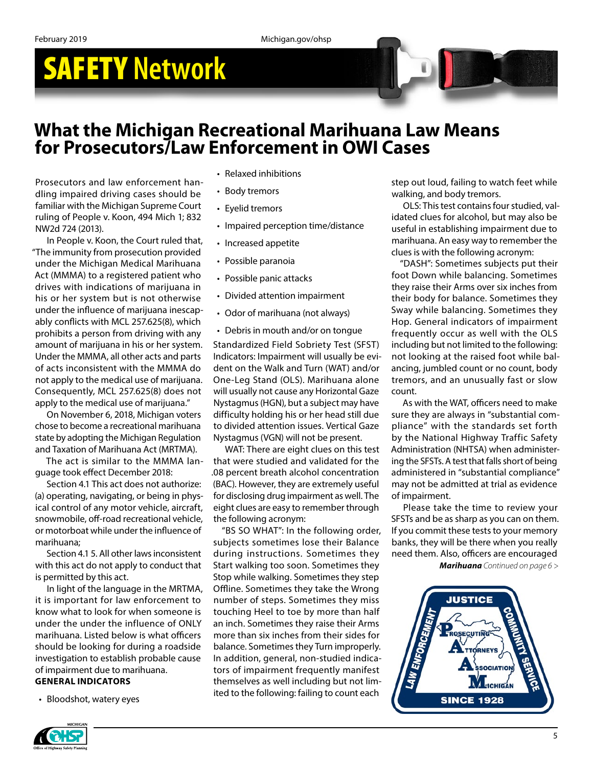# SAFETY **Network**

### **What the Michigan Recreational Marihuana Law Means for Prosecutors/Law Enforcement in OWI Cases**

Prosecutors and law enforcement handling impaired driving cases should be familiar with the Michigan Supreme Court ruling of People v. Koon, 494 Mich 1; 832 NW2d 724 (2013).

In People v. Koon, the Court ruled that, "The immunity from prosecution provided under the Michigan Medical Marihuana Act (MMMA) to a registered patient who drives with indications of marijuana in his or her system but is not otherwise under the influence of marijuana inescapably conflicts with MCL 257.625(8), which prohibits a person from driving with any amount of marijuana in his or her system. Under the MMMA, all other acts and parts of acts inconsistent with the MMMA do not apply to the medical use of marijuana. Consequently, MCL 257.625(8) does not apply to the medical use of marijuana."

On November 6, 2018, Michigan voters chose to become a recreational marihuana state by adopting the Michigan Regulation and Taxation of Marihuana Act (MRTMA).

The act is similar to the MMMA language took effect December 2018:

Section 4.1 This act does not authorize: (a) operating, navigating, or being in physical control of any motor vehicle, aircraft, snowmobile, off-road recreational vehicle, or motorboat while under the influence of marihuana;

Section 4.1 5. All other laws inconsistent with this act do not apply to conduct that is permitted by this act.

In light of the language in the MRTMA, it is important for law enforcement to know what to look for when someone is under the under the influence of ONLY marihuana. Listed below is what officers should be looking for during a roadside investigation to establish probable cause of impairment due to marihuana.

#### **GENERAL INDICATORS**

• Bloodshot, watery eyes

- Relaxed inhibitions
- Body tremors
- Eyelid tremors
- Impaired perception time/distance
- Increased appetite
- Possible paranoia
- Possible panic attacks
- Divided attention impairment
- Odor of marihuana (not always)
- Debris in mouth and/or on tongue

Standardized Field Sobriety Test (SFST) Indicators: Impairment will usually be evident on the Walk and Turn (WAT) and/or One-Leg Stand (OLS). Marihuana alone will usually not cause any Horizontal Gaze Nystagmus (HGN), but a subject may have difficulty holding his or her head still due to divided attention issues. Vertical Gaze Nystagmus (VGN) will not be present.

WAT: There are eight clues on this test that were studied and validated for the .08 percent breath alcohol concentration (BAC). However, they are extremely useful for disclosing drug impairment as well. The eight clues are easy to remember through the following acronym:

"BS SO WHAT": In the following order, subjects sometimes lose their Balance during instructions. Sometimes they Start walking too soon. Sometimes they Stop while walking. Sometimes they step Offline. Sometimes they take the Wrong number of steps. Sometimes they miss touching Heel to toe by more than half an inch. Sometimes they raise their Arms more than six inches from their sides for balance. Sometimes they Turn improperly. In addition, general, non-studied indicators of impairment frequently manifest themselves as well including but not limited to the following: failing to count each

step out loud, failing to watch feet while walking, and body tremors.

OLS: This test contains four studied, validated clues for alcohol, but may also be useful in establishing impairment due to marihuana. An easy way to remember the clues is with the following acronym:

"DASH": Sometimes subjects put their foot Down while balancing. Sometimes they raise their Arms over six inches from their body for balance. Sometimes they Sway while balancing. Sometimes they Hop. General indicators of impairment frequently occur as well with the OLS including but not limited to the following: not looking at the raised foot while balancing, jumbled count or no count, body tremors, and an unusually fast or slow count.

As with the WAT, officers need to make sure they are always in "substantial compliance" with the standards set forth by the National Highway Traffic Safety Administration (NHTSA) when administering the SFSTs. A test that falls short of being administered in "substantial compliance" may not be admitted at trial as evidence of impairment.

Please take the time to review your SFSTs and be as sharp as you can on them. If you commit these tests to your memory banks, they will be there when you really need them. Also, officers are encouraged

*Marihuana Continued on page 6 >*



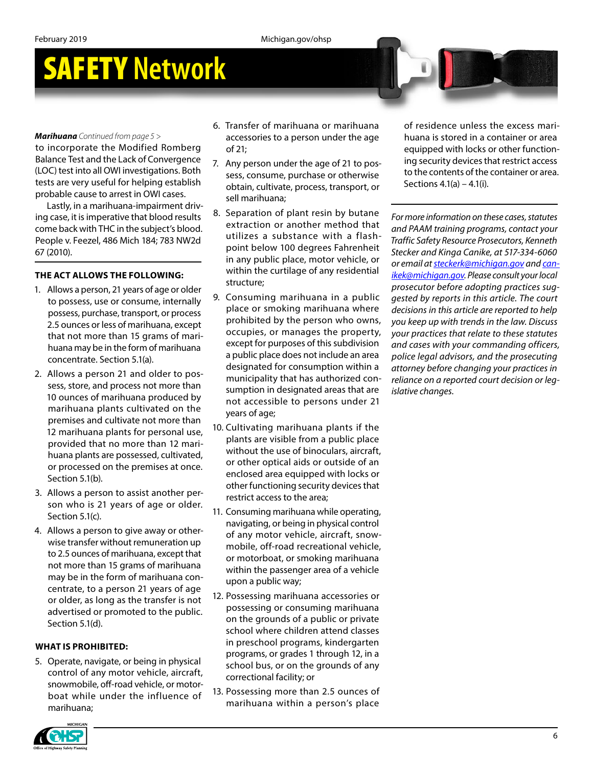## SAFETY **Network**

#### *Marihuana Continued from page 5 >*

to incorporate the Modified Romberg Balance Test and the Lack of Convergence (LOC) test into all OWI investigations. Both tests are very useful for helping establish probable cause to arrest in OWI cases.

Lastly, in a marihuana-impairment driving case, it is imperative that blood results come back with THC in the subject's blood. People v. Feezel, 486 Mich 184; 783 NW2d 67 (2010).

#### **THE ACT ALLOWS THE FOLLOWING:**

- 1. Allows a person, 21 years of age or older to possess, use or consume, internally possess, purchase, transport, or process 2.5 ounces or less of marihuana, except that not more than 15 grams of marihuana may be in the form of marihuana concentrate. Section 5.1(a).
- 2. Allows a person 21 and older to possess, store, and process not more than 10 ounces of marihuana produced by marihuana plants cultivated on the premises and cultivate not more than 12 marihuana plants for personal use, provided that no more than 12 marihuana plants are possessed, cultivated, or processed on the premises at once. Section 5.1(b).
- 3. Allows a person to assist another person who is 21 years of age or older. Section 5.1(c).
- 4. Allows a person to give away or otherwise transfer without remuneration up to 2.5 ounces of marihuana, except that not more than 15 grams of marihuana may be in the form of marihuana concentrate, to a person 21 years of age or older, as long as the transfer is not advertised or promoted to the public. Section 5.1(d).

#### **WHAT IS PROHIBITED:**

5. Operate, navigate, or being in physical control of any motor vehicle, aircraft, snowmobile, off-road vehicle, or motorboat while under the influence of marihuana;

- 6. Transfer of marihuana or marihuana accessories to a person under the age of 21;
- 7. Any person under the age of 21 to possess, consume, purchase or otherwise obtain, cultivate, process, transport, or sell marihuana;
- 8. Separation of plant resin by butane extraction or another method that utilizes a substance with a flashpoint below 100 degrees Fahrenheit in any public place, motor vehicle, or within the curtilage of any residential structure;
- 9. Consuming marihuana in a public place or smoking marihuana where prohibited by the person who owns, occupies, or manages the property, except for purposes of this subdivision a public place does not include an area designated for consumption within a municipality that has authorized consumption in designated areas that are not accessible to persons under 21 years of age;
- 10. Cultivating marihuana plants if the plants are visible from a public place without the use of binoculars, aircraft, or other optical aids or outside of an enclosed area equipped with locks or other functioning security devices that restrict access to the area;
- 11. Consuming marihuana while operating, navigating, or being in physical control of any motor vehicle, aircraft, snowmobile, off-road recreational vehicle, or motorboat, or smoking marihuana within the passenger area of a vehicle upon a public way;
- 12. Possessing marihuana accessories or possessing or consuming marihuana on the grounds of a public or private school where children attend classes in preschool programs, kindergarten programs, or grades 1 through 12, in a school bus, or on the grounds of any correctional facility; or
- 13. Possessing more than 2.5 ounces of marihuana within a person's place

of residence unless the excess marihuana is stored in a container or area equipped with locks or other functioning security devices that restrict access to the contents of the container or area. Sections 4.1(a) – 4.1(i).

*For more information on these cases, statutes and PAAM training programs, contact your Traffic Safety Resource Prosecutors, Kenneth Stecker and Kinga Canike, at 517-334-6060 or email at [steckerk@michigan.gov](mailto:steckerk@michigan.gov) and [can](mailto:canikek@michigan.gov)[ikek@michigan.gov](mailto:canikek@michigan.gov). Please consult your local prosecutor before adopting practices suggested by reports in this article. The court decisions in this article are reported to help you keep up with trends in the law. Discuss your practices that relate to these statutes and cases with your commanding officers, police legal advisors, and the prosecuting attorney before changing your practices in reliance on a reported court decision or legislative changes.* 

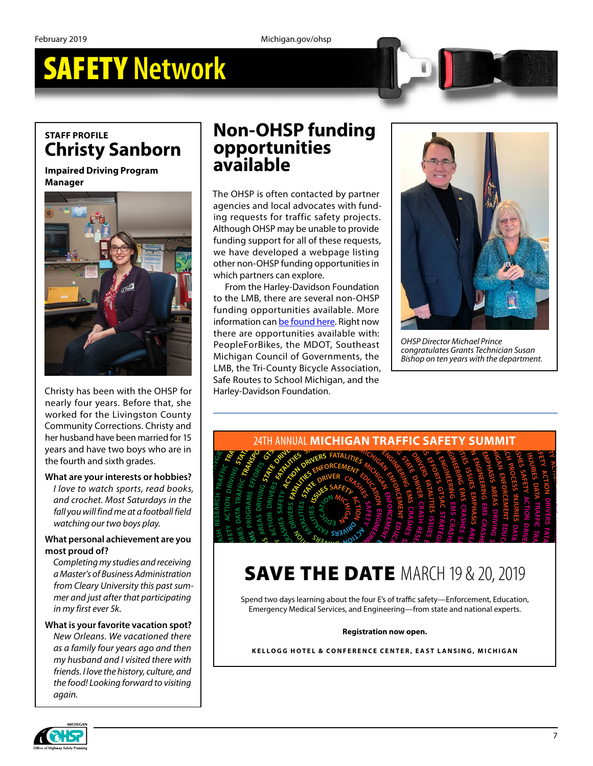## SAFETY **Network**

### **STAFF PROFILE Christy Sanborn**

**Impaired Driving Program Manager**



Christy has been with the OHSP for nearly four years. Before that, she worked for the Livingston County **ROAD** Community Corrections. Christy and Worked for the Livingston County<br>Community Corrections. Christy and<br>her husband have been married for 15<br>years and have two boys who are in<br>the fourth and sixth grades.<br>What are your interests or hobbies?<br>I love to watch s years and have two boys who are in<br>the fourth and sixth grades.<br>What are your interests or hobbies? the fourth and sixth grades.<br>the fourth and sixth grades.<br><mark>What are your interests or</mark> l

## the fourth and sixth grades.<br>What are your interests or hobbies?

*I love to watch sports, read books,*  **N** *and crochet. Most Saturdays in the fall you will find me at a football field watching our two boys play. RS,<br>he<br>eld<br>pu<br>mg* or the internal<br>bies?<br>ooks,<br>n the<br>l field<br>**!** you<br>iving **1 Doctors**<br>In the *Dall fi*<br>**are y<br>Precivice I H GI AN ENFORCEMENT EDUCATION EFFORTS GTSAC STRATEGIES G DEPARTURE TEAM** rest:<br>Port:<br>st Sai<br>st Sai<br>eass A<br>ievel<br>udies<br>ersity rectic<br>re bee<br>two k<br>ixth c<br>ntere<br>there<br>achie<br>achie<br>achie<br>achie

#### **What personal achievement are you Cmost proud of?**

*Completing my studies and receiving a Master's of Business Administration*  **ACT** Completing my studies and receiving<br>a Master's of Business Administration<br>from Cleary University this past sum-<br>mer and just after that participating *mer and just after that participating in my first ever 5k.*  $\overline{\phantom{a}}$ **T**<br>**I** rec<br>inist **P**<br>It participa<br> **GOALS**

**EFFORTS**

**PROCESS**

**RESEARCH**

**<sup>A</sup><sup>B</sup> <sup>C</sup> <sup>G</sup><sup>K</sup>**

**<sup>O</sup>P<sup>S</sup> <sup>A</sup>T<sup>R</sup> <sup>O</sup><sup>I</sup> <sup>T</sup> <sup>N</sup> <sup>E</sup><sup>T</sup> <sup>M</sup><sup>A</sup> <sup>S</sup> <sup>R</sup><sup>P</sup>**

**S EFFORTS**

 $\frac{1}{2}$ 

#### **What is your favorite vacation spot?**  *New Orleans. We vacationed there*  **a** *A as <i>A* **<b>P C** *Composity <i>A Pour <i>Pour years ago and then <b><i>A Pour years ago and then my husband and I visited there with friends. I love the history, culture, and the food! Looking forward to visiting again.*  $\begin{bmatrix} \text{pt?} \\ \text{ere} \\ \text{en} \end{bmatrix}$ **OR AD STRATEG EI S MANAGEMENT** ation spot?<br>
ioned there<br>
go and then<br>
d there with<br>
culture, and<br>
rd to visiting  $\mathcal{B}$ **RTS GTSAC STRATEG EI S**

### **Non-OHSP funding opportunities available**

The OHSP is often contacted by partner agencies and local advocates with funding requests for traffic safety projects. Although OHSP may be unable to provide funding support for all of these requests, we have developed a webpage listing other non-OHSP funding opportunities in which partners can explore.

From the Harley-Davidson Foundation to the LMB, there are several non-OHSP funding opportunities available. More information can [be found here.](https://www.michigan.gov/msp/0,4643,7-123-72297_64773_64775-482292--,00.html) Right now there are opportunities available with: PeopleForBikes, the MDOT, Southeast Michigan Council of Governments, the LMB, the Tri-County Bicycle Association,<br>Safe Routes to School Michigan, and the<br>Harley-Davidson Foundation. Safe Routes to School Michigan, and the Harley-Davidson Foundation. ssociation,<br>an, and the<br>distribution of the system of the system of the system of the system of the system of the system of the system of the system of the system of the system of the system of the system of the system of Michigan Council of Governments, the<br>
LMB, the Tri-County Bicycle Association,<br>
Safe Routes to School Michigan, and the<br>
Harley-Davidson Foundation. PeopleForBikes, the MDOT, Southeast<br>
Michigan Council of Governments, the<br>
LMB, the Tri-County Bicycle Association,<br>
Safe Routes to School Michigan, and the<br>
Harley-Davidson Foundation. there are opportunities available with:<br>
PeopleForBikes, the MDOT, Southeast<br>
Michigan Council of Governments, the<br>
Michigan Council of Governments, the<br>
LMB, the Tri-County Bicycle Association,<br>
Safe Routes to School Mich information can <u>be found here</u>. Right now<br>there are opportunities available with:<br>PeopleForBikes, the MDOT, Southeast<br>Michigan Council of Governments, the<br>LMB, the Tri-County Bicycle Association,<br>Safe Routes to School Mic Funding opportunities available. More<br>information can be found here. Right now<br>there are opportunities available with:<br>PeopleForBikes, the MDOT, Southeast<br>Michigan Council of Governments, the<br>LMB, the Tri-County Bicycle As to the LMB, there are several non-OHSP<br>funding opportunities available. More<br>information can be found here. Right now<br>there are opportunities available with:<br>PeopleForBikes, the MDOT, Southeast<br>Michigan Council of Governme From the Harley-Davidson<br>to the LMB, there are several<br>funding opportunities avail<br>information can be found her<br>there are opportunities avail<br>PeopleForBikes, the MDOT<br>Michigan Council of Govern<br>LMB, the Tri-County Bicycle<br>



*OHSP Director Michael Prince congratulates Grants Technician Susan Bishop on ten years with the department.* **ENGINEERING**



#### **DE THE DATE N RTAT OI N E**<br>**CE**<br>**CES DATE**<br>**CE**<br>**S**<br>**C**<br>**C**<br>**C**<br>**C**<br>**C**<br>**C**<br>**C E SAVE THE DATE MARC SAFETY 19 STATE**  $\frac{1}{2}$ **ACT OI N**  $\overline{a}$  $20$ , **NI EER CI FATAL TI EI S OI N**

.<br>Spend two days learning about the four E's of traffic safety—Enforcement, Education, Emergency Medical Services, and Engineering—from state and national experts. **RC <sup>R</sup>EVI <sup>R</sup> <sup>A</sup>T<sup>S</sup> <sup>E</sup><sup>T</sup> <sup>D</sup><sup>I</sup> A<sup>F</sup> LTC** *I***VIAI**<br>**C**<br>**C**<sub>*i***</sub>**, and Engineering—from</sub> SAVE ITE UAIE IVIANUS<br>Spend two days learning about the four E's of traffic safety<br>Emergency Medical Services, and Engineering—from st  $hat$ **P**<br> **P**<br> **Emerge** E's of traffic safety—Enf<br>neering—from state an<br>**on now open. <sup>M</sup><sup>A</sup> <sup>S</sup> <sup>P</sup>ROGRAM<sup>S</sup> Cement, Education,<br>national experts.**  $\frac{4 \text{K} \text{H}}{9 \text{ W}} \frac{1}{\text{V}}$ <br>  $\frac{4 \text{K}}{100}$ <br>  $\frac{4 \text{K}}{100}$ <br>  $\frac{4 \text{K}}{100}$ <br>  $\frac{4 \text{K}}{100}$ <br>  $\frac{4 \text{K}}{100}$ <br>  $\frac{4 \text{K}}{100}$ <br>  $\frac{4 \text{K}}{100}$ <br>  $\frac{4 \text{K}}{100}$ <br>  $\frac{4 \text{K}}{100}$ <br>  $\frac{4 \text{K}}{100}$ <br>  $\frac{4 \$ 

#### **Registration now open. <sup>A</sup><sup>T</sup> <sup>L</sup> <sup>T</sup><sup>I</sup> <sup>E</sup><sup>I</sup> <sup>S</sup> <sup>S</sup><sup>I</sup> <sup>U</sup><sup>S</sup> <sup>S</sup><sup>E</sup> U<sup>J</sup> <sup>N</sup><sup>I</sup> <sup>R</sup><sup>T</sup> <sup>A</sup>TA<sup>D</sup> <sup>S</sup>E<sup>I</sup> <sup>R</sup>**

.<br>KELLOGG HOTEL & CONFERENCE CENTER, EAST LANSING, MICHIGAN Registration now open.<br>GG HOTEL & CONFERENCE CENTER, EAS1  $\overline{\mathbf{B}}$ Emergency Medical Services, and Engineering—from state and national experent Registration now open.<br>
Registration now open.<br>
KELLOGG HOTEL & CONFERENCE CENTER, EAST LANSING, MICHIGA **<sup>T</sup><sup>S</sup> <sup>T</sup><sup>A</sup> <sup>E</sup> <sup>R</sup><sup>D</sup> <sup>V</sup><sup>I</sup> <sup>E</sup><sup>I</sup> <sup>R</sup> <sup>D</sup> <sup>S</sup> <sup>T</sup><sup>A</sup> <sup>A</sup> <sup>R</sup><sup>T</sup> <sup>F</sup><sup>A</sup> <sup>I</sup> <sup>F</sup> <sup>C</sup> <sup>R</sup><sup>T</sup> <sup>A</sup>N<sup>S</sup> <sup>O</sup><sup>P</sup> <sup>D</sup><sup>R</sup> <sup>V</sup><sup>I</sup> <sup>N</sup><sup>I</sup> <sup>G</sup> <sup>P</sup>ROCES<sup>S</sup> <sup>T</sup>RAF<sup>F</sup> C<sup>I</sup> DR VI NI G STATE DR VI ER CRA HS**

**<sup>R</sup><sup>P</sup> <sup>C</sup><sup>O</sup> <sup>S</sup><sup>E</sup> <sup>N</sup><sup>I</sup> <sup>S</sup> <sup>R</sup>U<sup>J</sup> AD <sup>S</sup>E<sup>I</sup>**

**<sup>T</sup>ROPSNART <sup>C</sup><sup>I</sup> <sup>F</sup><sup>F</sup>**